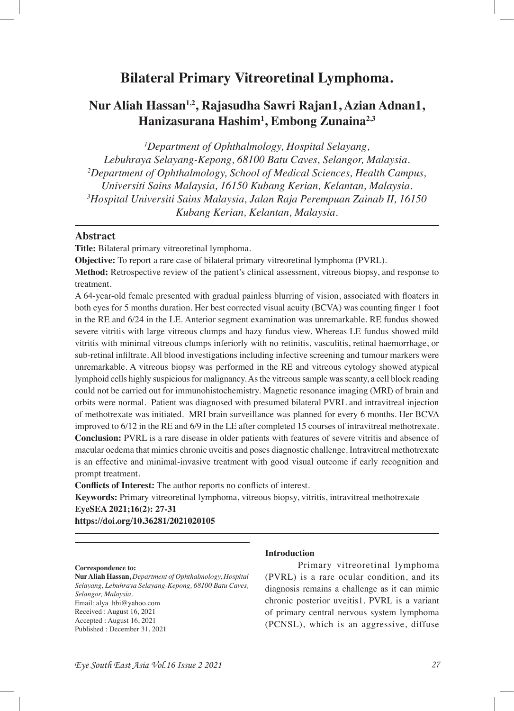# **Bilateral Primary Vitreoretinal Lymphoma.**

# **Nur Aliah Hassan1,2, Rajasudha Sawri Rajan1, Azian Adnan1, Hanizasurana Hashim1 , Embong Zunaina2,3**

*1 Department of Ophthalmology, Hospital Selayang, Lebuhraya Selayang-Kepong, 68100 Batu Caves, Selangor, Malaysia. 2 Department of Ophthalmology, School of Medical Sciences, Health Campus, Universiti Sains Malaysia, 16150 Kubang Kerian, Kelantan, Malaysia. 3 Hospital Universiti Sains Malaysia, Jalan Raja Perempuan Zainab II, 16150 Kubang Kerian, Kelantan, Malaysia.*

## **Abstract**

**Title:** Bilateral primary vitreoretinal lymphoma.

**Objective:** To report a rare case of bilateral primary vitreoretinal lymphoma (PVRL).

**Method:** Retrospective review of the patient's clinical assessment, vitreous biopsy, and response to treatment.

A 64-year-old female presented with gradual painless blurring of vision, associated with foaters in both eyes for 5 months duration. Her best corrected visual acuity (BCVA) was counting fnger 1 foot in the RE and 6/24 in the LE. Anterior segment examination was unremarkable. RE fundus showed severe vitritis with large vitreous clumps and hazy fundus view. Whereas LE fundus showed mild vitritis with minimal vitreous clumps inferiorly with no retinitis, vasculitis, retinal haemorrhage, or sub-retinal infltrate. All blood investigations including infective screening and tumour markers were unremarkable. A vitreous biopsy was performed in the RE and vitreous cytology showed atypical lymphoid cells highly suspicious for malignancy. As the vitreous sample was scanty, a cell block reading could not be carried out for immunohistochemistry. Magnetic resonance imaging (MRI) of brain and orbits were normal. Patient was diagnosed with presumed bilateral PVRL and intravitreal injection of methotrexate was initiated. MRI brain surveillance was planned for every 6 months. Her BCVA improved to 6/12 in the RE and 6/9 in the LE after completed 15 courses of intravitreal methotrexate. **Conclusion:** PVRL is a rare disease in older patients with features of severe vitritis and absence of macular oedema that mimics chronic uveitis and poses diagnostic challenge. Intravitreal methotrexate is an effective and minimal-invasive treatment with good visual outcome if early recognition and prompt treatment.

**Conficts of Interest:** The author reports no conficts of interest.

**Keywords:** Primary vitreoretinal lymphoma, vitreous biopsy, vitritis, intravitreal methotrexate **EyeSEA 2021;16(2): 27-31**

**https://doi.org/10.36281/2021020105**

#### **Correspondence to:**

**Nur Aliah Hassan,** *Department of Ophthalmology, Hospital Selayang, Lebuhraya Selayang-Kepong, 68100 Batu Caves, Selangor, Malaysia.* Email: alya\_hbi@yahoo.com Received : August 16, 2021 Accepted : August 16, 2021 Published : December 31, 2021

#### **Introduction**

Primary vitreoretinal lymphoma (PVRL) is a rare ocular condition, and its diagnosis remains a challenge as it can mimic chronic posterior uveitis1. PVRL is a variant of primary central nervous system lymphoma (PCNSL), which is an aggressive, diffuse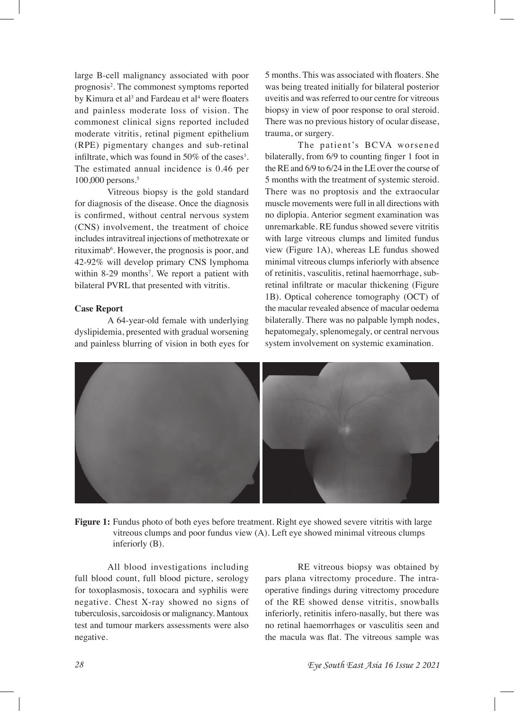large B-cell malignancy associated with poor prognosis<sup>2</sup>. The commonest symptoms reported by Kimura et al<sup>3</sup> and Fardeau et al<sup>4</sup> were floaters and painless moderate loss of vision. The commonest clinical signs reported included moderate vitritis, retinal pigment epithelium (RPE) pigmentary changes and sub-retinal infiltrate, which was found in 50% of the cases<sup>1</sup>. The estimated annual incidence is 0.46 per 100,000 persons.5

Vitreous biopsy is the gold standard for diagnosis of the disease. Once the diagnosis is confrmed, without central nervous system (CNS) involvement, the treatment of choice includes intravitreal injections of methotrexate or rituximab<sup>6</sup>. However, the prognosis is poor, and 42-92% will develop primary CNS lymphoma within 8-29 months<sup>7</sup>. We report a patient with bilateral PVRL that presented with vitritis.

#### **Case Report**

A 64-year-old female with underlying dyslipidemia, presented with gradual worsening and painless blurring of vision in both eyes for 5 months. This was associated with foaters. She was being treated initially for bilateral posterior uveitis and was referred to our centre for vitreous biopsy in view of poor response to oral steroid. There was no previous history of ocular disease, trauma, or surgery.

The patient's BCVA worsened bilaterally, from 6/9 to counting fnger 1 foot in the RE and 6/9 to 6/24 in the LE over the course of 5 months with the treatment of systemic steroid. There was no proptosis and the extraocular muscle movements were full in all directions with no diplopia. Anterior segment examination was unremarkable. RE fundus showed severe vitritis with large vitreous clumps and limited fundus view (Figure 1A), whereas LE fundus showed minimal vitreous clumps inferiorly with absence of retinitis, vasculitis, retinal haemorrhage, subretinal infltrate or macular thickening (Figure 1B). Optical coherence tomography (OCT) of the macular revealed absence of macular oedema bilaterally. There was no palpable lymph nodes, hepatomegaly, splenomegaly, or central nervous system involvement on systemic examination.



Figure 1: Fundus photo of both eyes before treatment. Right eye showed severe vitritis with large vitreous clumps and poor fundus view (A). Left eye showed minimal vitreous clumps inferiorly (B).

All blood investigations including full blood count, full blood picture, serology for toxoplasmosis, toxocara and syphilis were negative. Chest X-ray showed no signs of tuberculosis, sarcoidosis or malignancy. Mantoux test and tumour markers assessments were also negative.

RE vitreous biopsy was obtained by pars plana vitrectomy procedure. The intraoperative fndings during vitrectomy procedure of the RE showed dense vitritis, snowballs inferiorly, retinitis infero-nasally, but there was no retinal haemorrhages or vasculitis seen and the macula was fat. The vitreous sample was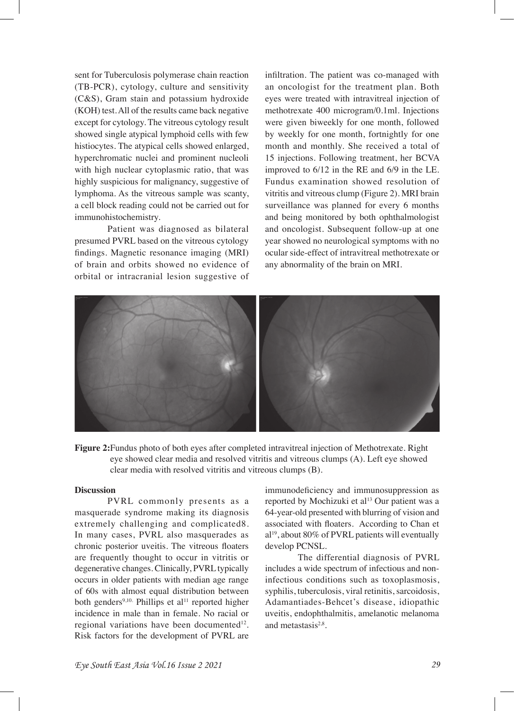sent for Tuberculosis polymerase chain reaction (TB-PCR), cytology, culture and sensitivity (C&S), Gram stain and potassium hydroxide (KOH) test. All of the results came back negative except for cytology. The vitreous cytology result showed single atypical lymphoid cells with few histiocytes. The atypical cells showed enlarged, hyperchromatic nuclei and prominent nucleoli with high nuclear cytoplasmic ratio, that was highly suspicious for malignancy, suggestive of lymphoma. As the vitreous sample was scanty, a cell block reading could not be carried out for immunohistochemistry.

Patient was diagnosed as bilateral presumed PVRL based on the vitreous cytology fndings. Magnetic resonance imaging (MRI) of brain and orbits showed no evidence of orbital or intracranial lesion suggestive of

infltration. The patient was co-managed with an oncologist for the treatment plan. Both eyes were treated with intravitreal injection of methotrexate 400 microgram/0.1ml. Injections were given biweekly for one month, followed by weekly for one month, fortnightly for one month and monthly. She received a total of 15 injections. Following treatment, her BCVA improved to 6/12 in the RE and 6/9 in the LE. Fundus examination showed resolution of vitritis and vitreous clump (Figure 2). MRI brain surveillance was planned for every 6 months and being monitored by both ophthalmologist and oncologist. Subsequent follow-up at one year showed no neurological symptoms with no ocular side-effect of intravitreal methotrexate or any abnormality of the brain on MRI.



**Figure 2:**Fundus photo of both eyes after completed intravitreal injection of Methotrexate. Right eye showed clear media and resolved vitritis and vitreous clumps (A). Left eye showed clear media with resolved vitritis and vitreous clumps (B).

#### **Discussion**

PVRL commonly presents as a masquerade syndrome making its diagnosis extremely challenging and complicated8. In many cases, PVRL also masquerades as chronic posterior uveitis. The vitreous foaters are frequently thought to occur in vitritis or degenerative changes. Clinically, PVRL typically occurs in older patients with median age range of 60s with almost equal distribution between both genders<sup>9,10.</sup> Phillips et al<sup>11</sup> reported higher incidence in male than in female. No racial or regional variations have been documented<sup>12</sup>. Risk factors for the development of PVRL are

immunodefciency and immunosuppression as reported by Mochizuki et al<sup>13</sup> Our patient was a 64-year-old presented with blurring of vision and associated with foaters. According to Chan et al19, about 80% of PVRL patients will eventually develop PCNSL.

The differential diagnosis of PVRL includes a wide spectrum of infectious and noninfectious conditions such as toxoplasmosis, syphilis, tuberculosis, viral retinitis, sarcoidosis, Adamantiades-Behcet's disease, idiopathic uveitis, endophthalmitis, amelanotic melanoma and metastasis $2.8$ .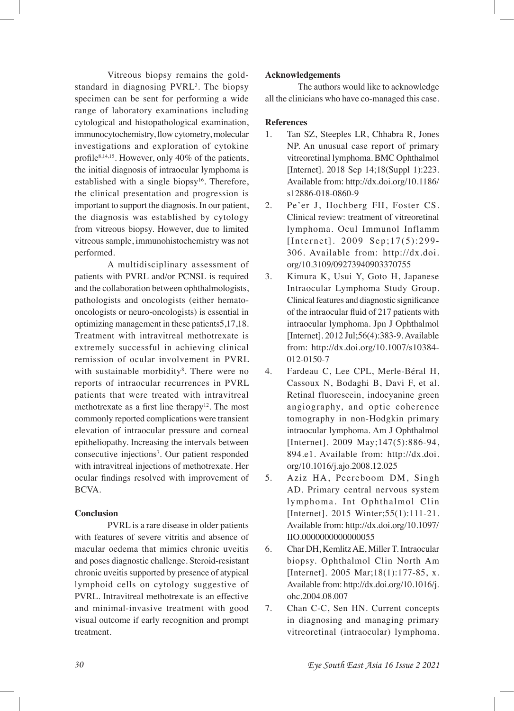Vitreous biopsy remains the goldstandard in diagnosing PVRL<sup>3</sup>. The biopsy specimen can be sent for performing a wide range of laboratory examinations including cytological and histopathological examination, immunocytochemistry, fow cytometry, molecular investigations and exploration of cytokine profile<sup>8,14,15</sup>. However, only 40% of the patients, the initial diagnosis of intraocular lymphoma is established with a single biopsy<sup>16</sup>. Therefore, the clinical presentation and progression is important to support the diagnosis. In our patient, the diagnosis was established by cytology from vitreous biopsy. However, due to limited vitreous sample, immunohistochemistry was not performed.

A multidisciplinary assessment of patients with PVRL and/or PCNSL is required and the collaboration between ophthalmologists, pathologists and oncologists (either hematooncologists or neuro-oncologists) is essential in optimizing management in these patients5,17,18. Treatment with intravitreal methotrexate is extremely successful in achieving clinical remission of ocular involvement in PVRL with sustainable morbidity<sup>8</sup>. There were no reports of intraocular recurrences in PVRL patients that were treated with intravitreal methotrexate as a first line therapy<sup>12</sup>. The most commonly reported complications were transient elevation of intraocular pressure and corneal epitheliopathy. Increasing the intervals between consecutive injections<sup>7</sup>. Our patient responded with intravitreal injections of methotrexate. Her ocular fndings resolved with improvement of BCVA.

### **Conclusion**

PVRL is a rare disease in older patients with features of severe vitritis and absence of macular oedema that mimics chronic uveitis and poses diagnostic challenge. Steroid-resistant chronic uveitis supported by presence of atypical lymphoid cells on cytology suggestive of PVRL. Intravitreal methotrexate is an effective and minimal-invasive treatment with good visual outcome if early recognition and prompt treatment.

#### **Acknowledgements**

The authors would like to acknowledge all the clinicians who have co-managed this case.

### **References**

- 1. Tan SZ, Steeples LR, Chhabra R, Jones NP. An unusual case report of primary vitreoretinal lymphoma. BMC Ophthalmol [Internet]. 2018 Sep 14;18(Suppl 1):223. Available from: http://dx.doi.org/10.1186/ s12886-018-0860-9
- 2. Pe'er J, Hochberg FH, Foster CS. Clinical review: treatment of vitreoretinal lymphoma. Ocul Immunol Inflamm [Internet]. 2009 Sep;17(5):299- 306. Available from: http://dx.doi. org/10.3109/09273940903370755
- 3. Kimura K, Usui Y, Goto H, Japanese Intraocular Lymphoma Study Group. Clinical features and diagnostic signifcance of the intraocular fuid of 217 patients with intraocular lymphoma. Jpn J Ophthalmol [Internet]. 2012 Jul;56(4):383-9. Available from: http://dx.doi.org/10.1007/s10384- 012-0150-7
- 4. Fardeau C, Lee CPL, Merle-Béral H, Cassoux N, Bodaghi B, Davi F, et al. Retinal fluorescein, indocyanine green angiography, and optic coherence tomography in non-Hodgkin primary intraocular lymphoma. Am J Ophthalmol [Internet]. 2009 May;147(5):886-94, 894.e1. Available from: http://dx.doi. org/10.1016/j.ajo.2008.12.025
- 5. Aziz HA, Peereboom DM, Singh AD. Primary central nervous system lymphoma. Int Ophthalmol Clin [Internet]. 2015 Winter; 55(1): 111-21. Available from: http://dx.doi.org/10.1097/ IIO.0000000000000055
- 6. Char DH, Kemlitz AE, Miller T. Intraocular biopsy. Ophthalmol Clin North Am [Internet]. 2005 Mar;18(1):177-85, x. Available from: http://dx.doi.org/10.1016/j. ohc.2004.08.007
- 7. Chan C-C, Sen HN. Current concepts in diagnosing and managing primary vitreoretinal (intraocular) lymphoma.